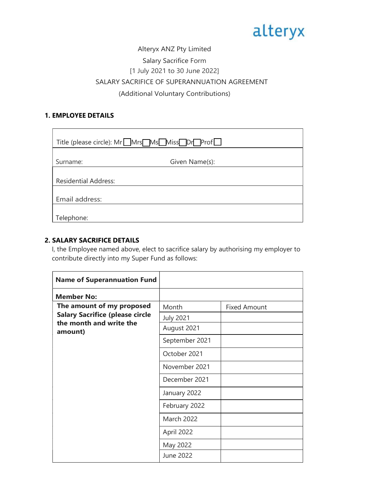# alteryx

### Alteryx ANZ Pty Limited Salary Sacrifice Form [1 July 2021 to 30 June 2022] SALARY SACRIFICE OF SUPERANNUATION AGREEMENT (Additional Voluntary Contributions)

## 1. EMPLOYEE DETAILS

| Title (please circle): Mr Mrs Ms Miss Dr Prof |                |  |
|-----------------------------------------------|----------------|--|
| Surname:                                      | Given Name(s): |  |
| <b>Residential Address:</b>                   |                |  |
| Email address:                                |                |  |
| Telephone:                                    |                |  |

#### 2. SALARY SACRIFICE DETAILS

 I, the Employee named above, elect to sacrifice salary by authorising my employer to contribute directly into my Super Fund as follows:

| <b>Name of Superannuation Fund</b>                                                                        |                           |                     |
|-----------------------------------------------------------------------------------------------------------|---------------------------|---------------------|
| <b>Member No:</b>                                                                                         |                           |                     |
| The amount of my proposed<br><b>Salary Sacrifice (please circle</b><br>the month and write the<br>amount) | Month<br><b>July 2021</b> | <b>Fixed Amount</b> |
|                                                                                                           | August 2021               |                     |
|                                                                                                           | September 2021            |                     |
|                                                                                                           | October 2021              |                     |
|                                                                                                           | November 2021             |                     |
|                                                                                                           | December 2021             |                     |
|                                                                                                           | January 2022              |                     |
|                                                                                                           | February 2022             |                     |
|                                                                                                           | <b>March 2022</b>         |                     |
|                                                                                                           | April 2022                |                     |
|                                                                                                           | May 2022                  |                     |
|                                                                                                           | June 2022                 |                     |